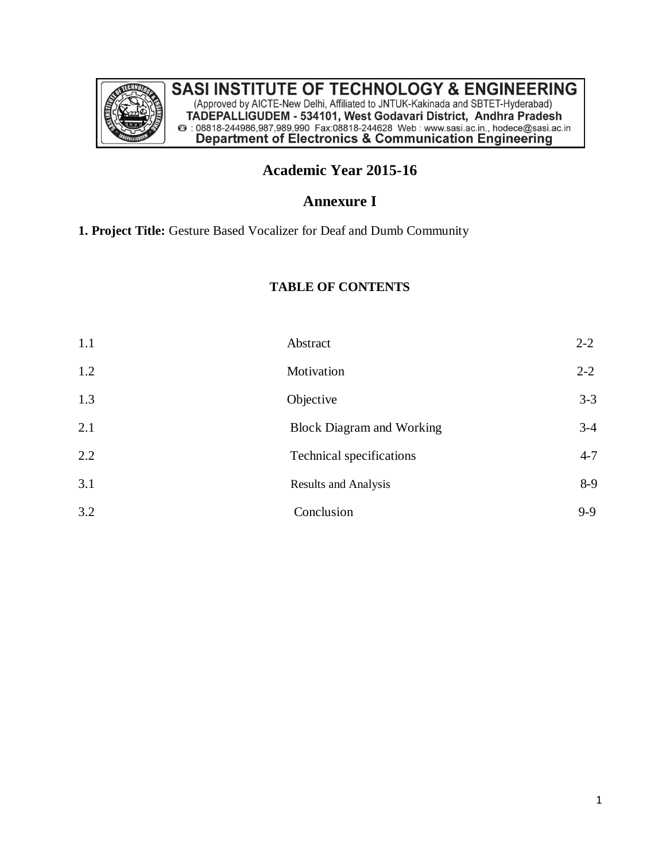

## **Academic Year 2015-16**

## **Annexure I**

**1. Project Title:** Gesture Based Vocalizer for Deaf and Dumb Community

### **TABLE OF CONTENTS**

| 1.1 | Abstract                         | $2 - 2$ |
|-----|----------------------------------|---------|
| 1.2 | Motivation                       | $2 - 2$ |
| 1.3 | Objective                        | $3 - 3$ |
| 2.1 | <b>Block Diagram and Working</b> | $3-4$   |
| 2.2 | Technical specifications         | $4 - 7$ |
| 3.1 | <b>Results and Analysis</b>      | $8-9$   |
| 3.2 | Conclusion                       | $9-9$   |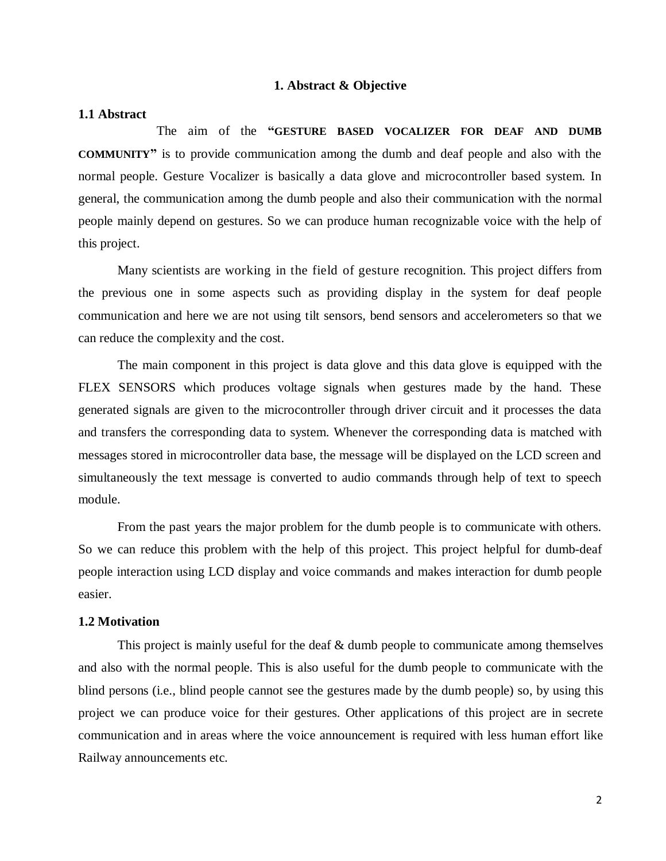#### **1. Abstract & Objective**

#### **1.1 Abstract**

The aim of the **"GESTURE BASED VOCALIZER FOR DEAF AND DUMB COMMUNITY"** is to provide communication among the dumb and deaf people and also with the normal people. Gesture Vocalizer is basically a data glove and microcontroller based system. In general, the communication among the dumb people and also their communication with the normal people mainly depend on gestures. So we can produce human recognizable voice with the help of this project.

Many scientists are working in the field of gesture recognition. This project differs from the previous one in some aspects such as providing display in the system for deaf people communication and here we are not using tilt sensors, bend sensors and accelerometers so that we can reduce the complexity and the cost.

The main component in this project is data glove and this data glove is equipped with the FLEX SENSORS which produces voltage signals when gestures made by the hand. These generated signals are given to the microcontroller through driver circuit and it processes the data and transfers the corresponding data to system. Whenever the corresponding data is matched with messages stored in microcontroller data base, the message will be displayed on the LCD screen and simultaneously the text message is converted to audio commands through help of text to speech module.

From the past years the major problem for the dumb people is to communicate with others. So we can reduce this problem with the help of this project. This project helpful for dumb-deaf people interaction using LCD display and voice commands and makes interaction for dumb people easier.

### **1.2 Motivation**

This project is mainly useful for the deaf & dumb people to communicate among themselves and also with the normal people. This is also useful for the dumb people to communicate with the blind persons (i.e., blind people cannot see the gestures made by the dumb people) so, by using this project we can produce voice for their gestures. Other applications of this project are in secrete communication and in areas where the voice announcement is required with less human effort like Railway announcements etc.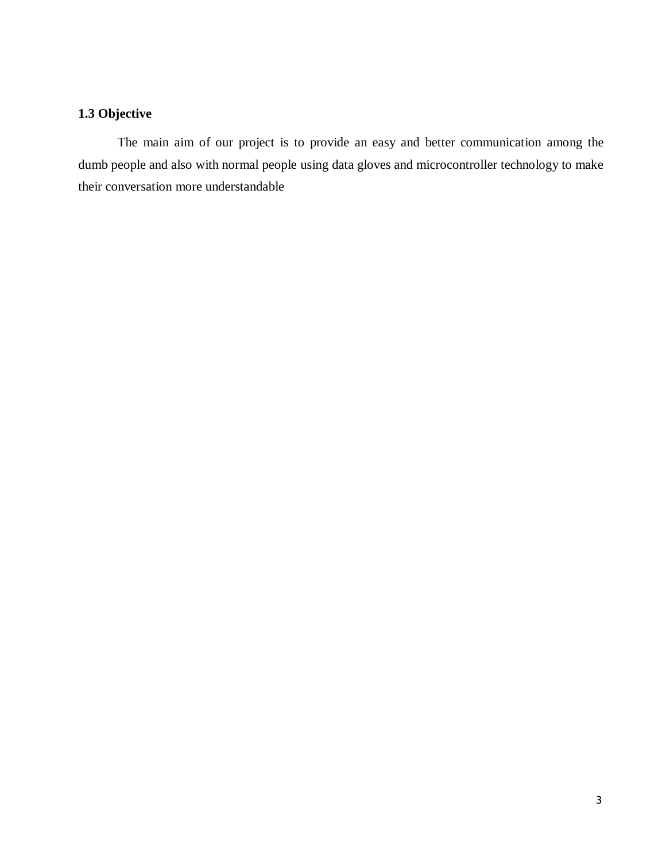### **1.3 Objective**

The main aim of our project is to provide an easy and better communication among the dumb people and also with normal people using data gloves and microcontroller technology to make their conversation more understandable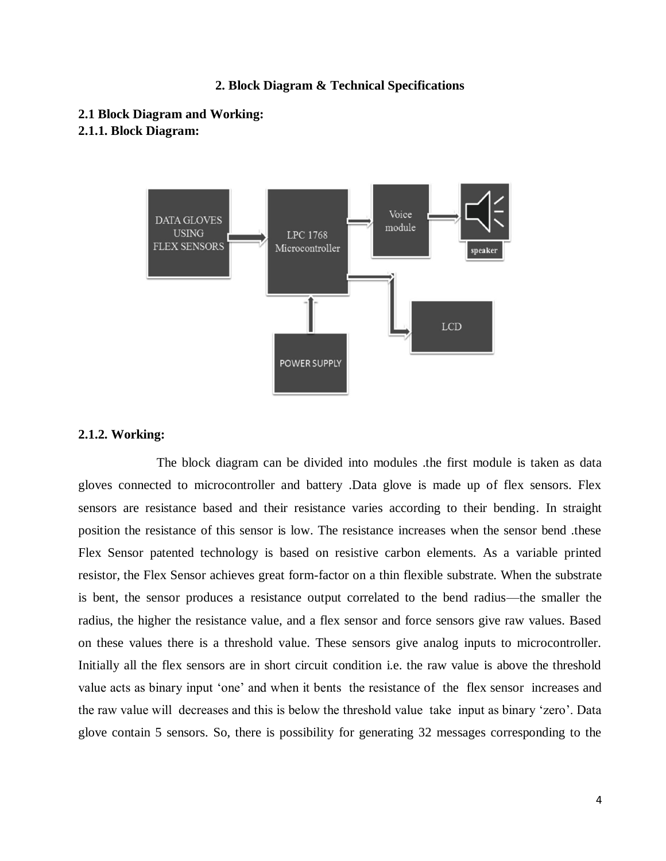#### **2. Block Diagram & Technical Specifications**

**2.1 Block Diagram and Working: 2.1.1. Block Diagram:**



#### **2.1.2. Working:**

The block diagram can be divided into modules .the first module is taken as data gloves connected to microcontroller and battery .Data glove is made up of flex sensors. Flex sensors are resistance based and their resistance varies according to their bending. In straight position the resistance of this sensor is low. The resistance increases when the sensor bend .these Flex Sensor patented technology is based on resistive carbon elements. As a variable printed resistor, the Flex Sensor achieves great form-factor on a thin flexible substrate. When the substrate is bent, the sensor produces a resistance output correlated to the bend radius—the smaller the radius, the higher the resistance value, and a flex sensor and force sensors give raw values. Based on these values there is a threshold value. These sensors give analog inputs to microcontroller. Initially all the flex sensors are in short circuit condition i.e. the raw value is above the threshold value acts as binary input 'one' and when it bents the resistance of the flex sensor increases and the raw value will decreases and this is below the threshold value take input as binary 'zero'. Data glove contain 5 sensors. So, there is possibility for generating 32 messages corresponding to the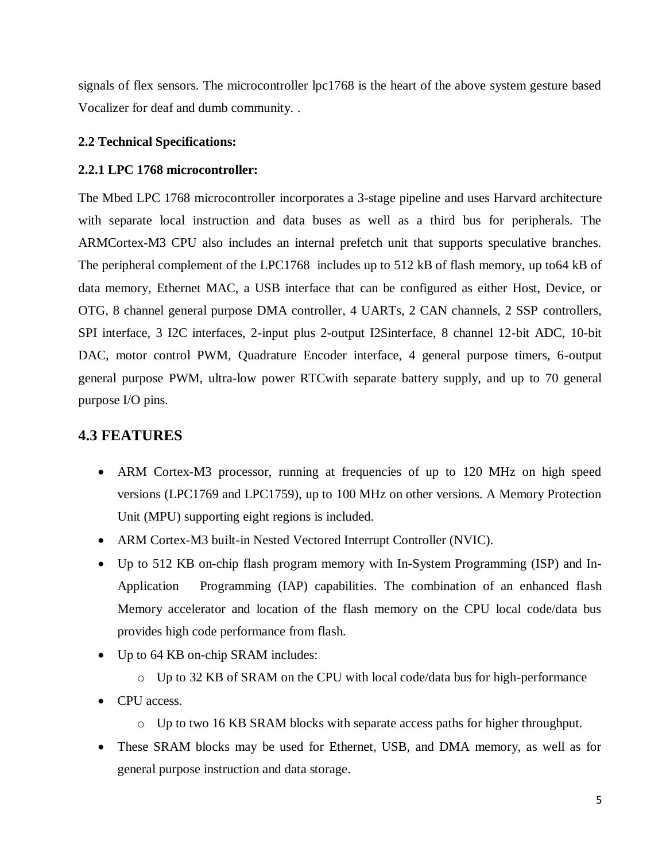signals of flex sensors. The microcontroller lpc1768 is the heart of the above system gesture based Vocalizer for deaf and dumb community. .

### **2.2 Technical Specifications:**

### **2.2.1 LPC 1768 microcontroller:**

The Mbed LPC 1768 microcontroller incorporates a 3-stage pipeline and uses Harvard architecture with separate local instruction and data buses as well as a third bus for peripherals. The ARMCortex-M3 CPU also includes an internal prefetch unit that supports speculative branches. The peripheral complement of the LPC1768 includes up to 512 kB of flash memory, up to64 kB of data memory, Ethernet MAC, a USB interface that can be configured as either Host, Device, or OTG, 8 channel general purpose DMA controller, 4 UARTs, 2 CAN channels, 2 SSP controllers, SPI interface, 3 I2C interfaces, 2-input plus 2-output I2Sinterface, 8 channel 12-bit ADC, 10-bit DAC, motor control PWM, Quadrature Encoder interface, 4 general purpose timers, 6-output general purpose PWM, ultra-low power RTCwith separate battery supply, and up to 70 general purpose I/O pins.

## **4.3 FEATURES**

- ARM Cortex-M3 processor, running at frequencies of up to 120 MHz on high speed versions (LPC1769 and LPC1759), up to 100 MHz on other versions. A Memory Protection Unit (MPU) supporting eight regions is included.
- ARM Cortex-M3 built-in Nested Vectored Interrupt Controller (NVIC).
- Up to 512 KB on-chip flash program memory with In-System Programming (ISP) and In-Application Programming (IAP) capabilities. The combination of an enhanced flash Memory accelerator and location of the flash memory on the CPU local code/data bus provides high code performance from flash.
- Up to 64 KB on-chip SRAM includes:
	- o Up to 32 KB of SRAM on the CPU with local code/data bus for high-performance
- CPU access.
	- o Up to two 16 KB SRAM blocks with separate access paths for higher throughput.
- These SRAM blocks may be used for Ethernet, USB, and DMA memory, as well as for general purpose instruction and data storage.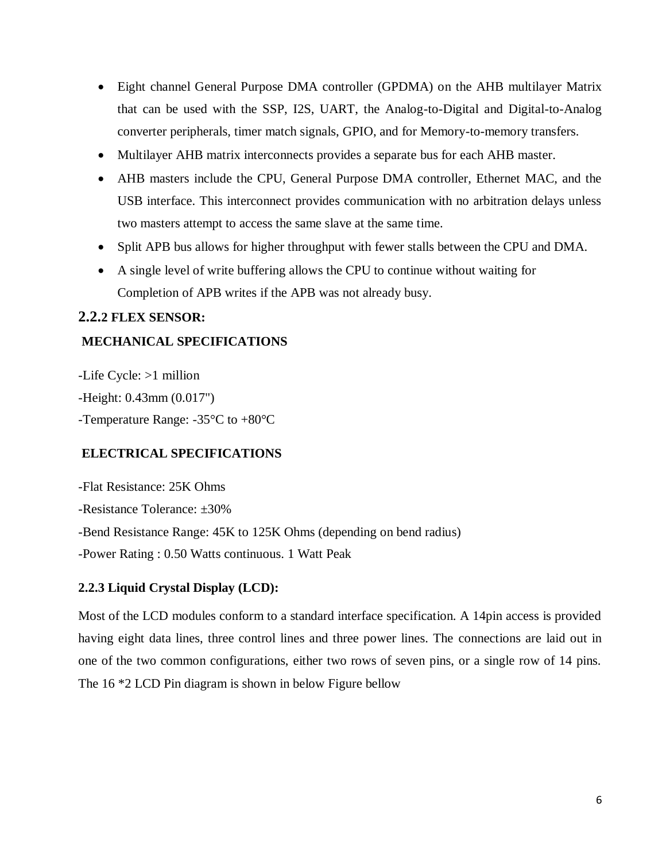- Eight channel General Purpose DMA controller (GPDMA) on the AHB multilayer Matrix that can be used with the SSP, I2S, UART, the Analog-to-Digital and Digital-to-Analog converter peripherals, timer match signals, GPIO, and for Memory-to-memory transfers.
- Multilayer AHB matrix interconnects provides a separate bus for each AHB master.
- AHB masters include the CPU, General Purpose DMA controller, Ethernet MAC, and the USB interface. This interconnect provides communication with no arbitration delays unless two masters attempt to access the same slave at the same time.
- Split APB bus allows for higher throughput with fewer stalls between the CPU and DMA.
- A single level of write buffering allows the CPU to continue without waiting for Completion of APB writes if the APB was not already busy.

### **2.2.2 FLEX SENSOR:**

### **MECHANICAL SPECIFICATIONS**

-Life Cycle: >1 million -Height: 0.43mm (0.017") -Temperature Range: -35°C to +80°C

### **ELECTRICAL SPECIFICATIONS**

-Flat Resistance: 25K Ohms -Resistance Tolerance: ±30% -Bend Resistance Range: 45K to 125K Ohms (depending on bend radius) -Power Rating : 0.50 Watts continuous. 1 Watt Peak

### **2.2.3 Liquid Crystal Display (LCD):**

Most of the LCD modules conform to a standard interface specification. A 14pin access is provided having eight data lines, three control lines and three power lines. The connections are laid out in one of the two common configurations, either two rows of seven pins, or a single row of 14 pins. The 16 \*2 LCD Pin diagram is shown in below Figure bellow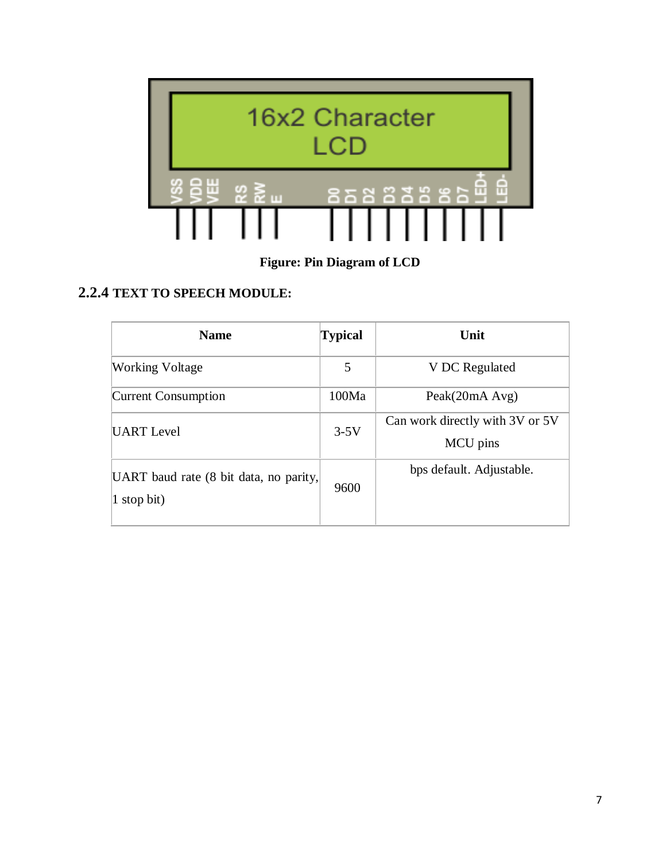

**Figure: Pin Diagram of LCD**

# **2.2.4 TEXT TO SPEECH MODULE:**

| <b>Name</b>                                           | <b>Typical</b> | Unit                                        |
|-------------------------------------------------------|----------------|---------------------------------------------|
| <b>Working Voltage</b>                                | 5              | V DC Regulated                              |
| Current Consumption                                   | 100Ma          | Peak(20mA Avg)                              |
| UART Level                                            | $3-5V$         | Can work directly with 3V or 5V<br>MCU pins |
| UART baud rate (8 bit data, no parity,<br>1 stop bit) | 9600           | bps default. Adjustable.                    |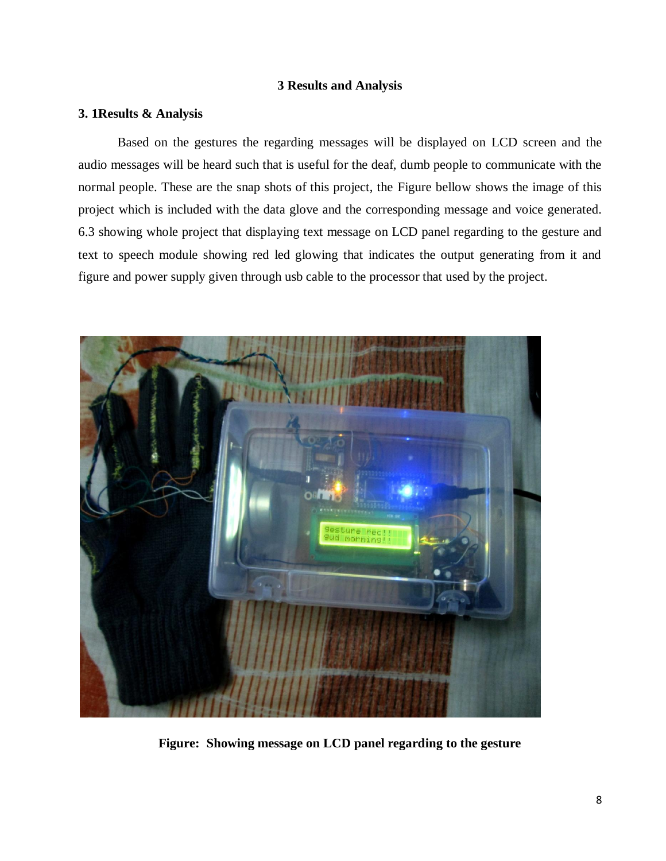### **3 Results and Analysis**

### **3. 1Results & Analysis**

Based on the gestures the regarding messages will be displayed on LCD screen and the audio messages will be heard such that is useful for the deaf, dumb people to communicate with the normal people. These are the snap shots of this project, the Figure bellow shows the image of this project which is included with the data glove and the corresponding message and voice generated. 6.3 showing whole project that displaying text message on LCD panel regarding to the gesture and text to speech module showing red led glowing that indicates the output generating from it and figure and power supply given through usb cable to the processor that used by the project.



**Figure: Showing message on LCD panel regarding to the gesture**